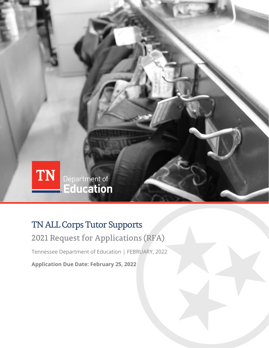

## TN ALL Corps Tutor Supports

2021 Request for Applications (RFA)

Tennessee Department of Education | FEBRUARY, 2022

**Application Due Date: February 25, 2022**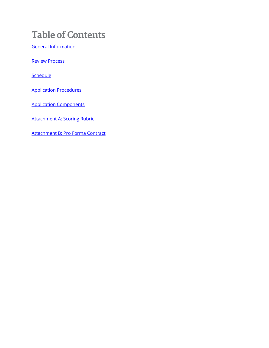# **Table of Contents**

[General Information](#page-2-0)

[Review Process](#page-3-0)

**[Schedule](#page-3-1)** 

[Application Procedures](#page-4-0)

[Application Components](#page-4-1)

Attachment [A: Scoring Rubric](#page-5-0)

[Attachment B: Pro Forma Contract](#page-7-0)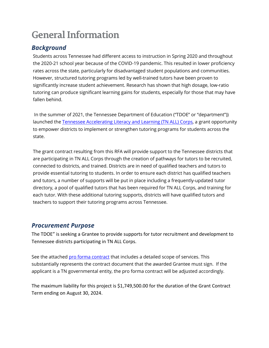# <span id="page-2-0"></span>**General Information**

## *Background*

Students across Tennessee had different access to instruction in Spring 2020 and throughout the 2020-21 school year because of the COVID-19 pandemic. This resulted in lower proficiency rates across the state, particularly for disadvantaged student populations and communities. However, structured tutoring programs led by well-trained tutors have been proven to significantly increase student achievement. Research has shown that high dosage, low-ratio tutoring can produce significant learning gains for students, especially for those that may have fallen behind.

In the summer of 2021, the Tennessee Department of Education ("TDOE" or "department")) launched th[e Tennessee Accelerating Literacy and Learning \(TN ALL\) Corps,](https://www.tn.gov/content/dam/tn/education/esser-planning-resources/TDOE-TNALLCorps-Guidance_FINAL.pdf) a grant opportunity to empower districts to implement or strengthen tutoring programs for students across the state.

The grant contract resulting from this RFA will provide support to the Tennessee districts that are participating in TN ALL Corps through the creation of pathways for tutors to be recruited, connected to districts, and trained. Districts are in need of qualified teachers and tutors to provide essential tutoring to students. In order to ensure each district has qualified teachers and tutors, a number of supports will be put in place including a frequently-updated tutor directory, a pool of qualified tutors that has been required for TN ALL Corps, and training for each tutor. With these additional tutoring supports, districts will have qualified tutors and teachers to support their tutoring programs across Tennessee.

### *Procurement Purpose*

The TDOE" is seeking a Grantee to provide supports for tutor recruitment and development to Tennessee districts participating in TN ALL Corps.

See the attache[d pro forma contract](#page-7-0) that includes a detailed scope of services. This substantially represents the contract document that the awarded Grantee must sign. If the applicant is a TN governmental entity, the pro forma contract will be adjusted accordingly.

The maximum liability for this project is \$1,749,500.00 for the duration of the Grant Contract Term ending on August 30, 2024.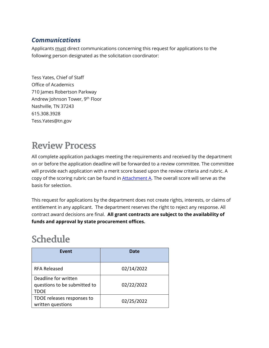## *Communications*

Applicants must direct communications concerning this request for applications to the following person designated as the solicitation coordinator:

Tess Yates, Chief of Staff Office of Academics 710 James Robertson Parkway Andrew Johnson Tower, 9<sup>th</sup> Floor Nashville, TN 37243 615.308.3928 Tess.Yates@tn.gov

# <span id="page-3-0"></span>**Review Process**

All complete application packages meeting the requirements and received by the department on or before the application deadline will be forwarded to a review committee. The committee will provide each application with a merit score based upon the review criteria and rubric. A copy of the scoring rubric can be found in  $Attachment A$ . The overall score will serve as the</u> basis for selection.

This request for applications by the department does not create rights, interests, or claims of entitlement in any applicant. The department reserves the right to reject any response. All contract award decisions are final. **All grant contracts are subject to the availability of funds and approval by state procurement offices.**

# <span id="page-3-1"></span>**Schedule**

| Event                                                        | Date       |
|--------------------------------------------------------------|------------|
| <b>RFA Released</b>                                          | 02/14/2022 |
| Deadline for written<br>questions to be submitted to<br>TDOE | 02/22/2022 |
| TDOE releases responses to<br>written questions              | 02/25/2022 |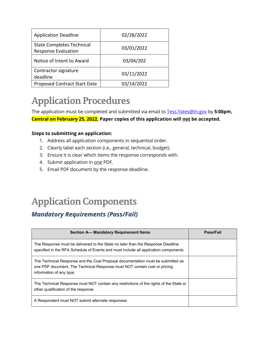| <b>Application Deadline</b>                                    | 02/28/2022 |
|----------------------------------------------------------------|------------|
| <b>State Completes Technical</b><br><b>Response Evaluation</b> | 03/01/2022 |
| Notice of Intent to Award                                      | 03/04/202  |
| Contractor signature<br>deadline                               | 03/11/2022 |
| <b>Proposed Contract Start Date</b>                            | 03/14/2022 |

# <span id="page-4-0"></span>**Application Procedures**

The application must be completed and submitted via email to [Tess.Yates@tn.gov](mailto:Tess.Yates@tn.gov) by **5:00pm, Central on February 25, 2022. Paper copies of this application will not be accepted.**

### **Steps to submitting an application:**

- 1. Address all application components in sequential order.
- 2. Clearly label each section (i.e., general, technical, budget).
- 3. Ensure it is clear which items the response corresponds with.
- 4. Submit application in one PDF.
- 5. Email PDF document by the response deadline.

# <span id="page-4-1"></span>**Application Components**

## *Mandatory Requirements (Pass/Fail)*

| Section A- Mandatory Requirement Items                                                                                                                                                   | Pass/Fail |
|------------------------------------------------------------------------------------------------------------------------------------------------------------------------------------------|-----------|
| The Response must be delivered to the State no later than the Response Deadline<br>specified in the RFA Schedule of Events and must include all application components.                  |           |
| The Technical Response and the Cost Proposal documentation must be submitted as<br>one PDF document. The Technical Response must NOT contain cost or pricing<br>information of any type. |           |
| The Technical Response must NOT contain any restrictions of the rights of the State or<br>other qualification of the response.                                                           |           |
| A Respondent must NOT submit alternate responses                                                                                                                                         |           |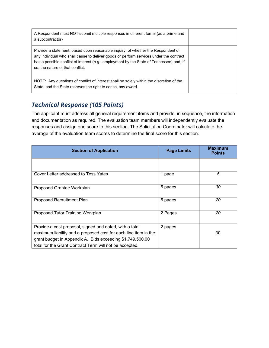| A Respondent must NOT submit multiple responses in different forms (as a prime and<br>a subcontractor)                                                                                                                                                                                                     |  |
|------------------------------------------------------------------------------------------------------------------------------------------------------------------------------------------------------------------------------------------------------------------------------------------------------------|--|
| Provide a statement, based upon reasonable inquiry, of whether the Respondent or<br>any individual who shall cause to deliver goods or perform services under the contract<br>has a possible conflict of interest (e.g., employment by the State of Tennessee) and, if<br>so, the nature of that conflict. |  |
| NOTE: Any questions of conflict of interest shall be solely within the discretion of the<br>State, and the State reserves the right to cancel any award.                                                                                                                                                   |  |

## *Technical Response (105 Points)*

The applicant must address all general requirement items and provide, in sequence, the information and documentation as required. The evaluation team members will independently evaluate the responses and assign one score to this section. The Solicitation Coordinator will calculate the average of the evaluation team scores to determine the final score for this section.

<span id="page-5-0"></span>

| <b>Section of Application</b>                                                                                                                                                                                                                      | <b>Page Limits</b> | <b>Maximum</b><br><b>Points</b> |
|----------------------------------------------------------------------------------------------------------------------------------------------------------------------------------------------------------------------------------------------------|--------------------|---------------------------------|
|                                                                                                                                                                                                                                                    |                    |                                 |
| Cover Letter addressed to Tess Yates                                                                                                                                                                                                               | 1 page             | 5                               |
| Proposed Grantee Workplan                                                                                                                                                                                                                          | 5 pages            | 30                              |
| Proposed Recruitment Plan                                                                                                                                                                                                                          | 5 pages            | 20                              |
| Proposed Tutor Training Workplan                                                                                                                                                                                                                   | 2 Pages            | 20                              |
| Provide a cost proposal, signed and dated, with a total<br>maximum liability and a proposed cost for each line item in the<br>grant budget in Appendix A. Bids exceeding \$1,749,500.00<br>total for the Grant Contract Term will not be accepted. | 2 pages            | 30                              |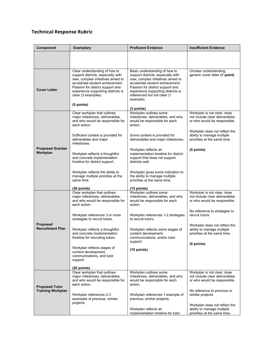### **Technical Response Rubric**

| <b>Component</b>                                                                                                                                                                                                                                                                                                                                                                                                                                                                                                                        | <b>Exemplary</b>                                                                                                           | <b>Proficient Evidence</b>                                                                                       | <b>Insufficient Evidence</b>                                                                  |
|-----------------------------------------------------------------------------------------------------------------------------------------------------------------------------------------------------------------------------------------------------------------------------------------------------------------------------------------------------------------------------------------------------------------------------------------------------------------------------------------------------------------------------------------|----------------------------------------------------------------------------------------------------------------------------|------------------------------------------------------------------------------------------------------------------|-----------------------------------------------------------------------------------------------|
|                                                                                                                                                                                                                                                                                                                                                                                                                                                                                                                                         |                                                                                                                            |                                                                                                                  |                                                                                               |
| Clear understanding of how to<br>Basic understanding of how to<br>support districts, especially with<br>support districts, especially with<br>new, complex initiatives aimed to<br>new, complex initiatives aimed to<br>accelerate student achievement.<br>accelerate student achievement.<br>Passion for district support and<br>Passion for district support and<br><b>Cover Letter</b><br>experience supporting districts is<br>experience supporting districts is<br>clear (3 examples)<br>referenced but not clear (1<br>example). |                                                                                                                            | Unclear understanding;<br>generic cover letter (1 point)                                                         |                                                                                               |
|                                                                                                                                                                                                                                                                                                                                                                                                                                                                                                                                         | (5 points)                                                                                                                 | (3 points)                                                                                                       |                                                                                               |
|                                                                                                                                                                                                                                                                                                                                                                                                                                                                                                                                         | Clear workplan that outlines<br>major milestones, deliverables,<br>and who would be responsible for<br>each action.        | Workplan outlines some<br>milestones, deliverables, and who<br>would be responsible for each<br>action.          | Workplan is not clear, does<br>not include clear deliverables<br>or who would be responsible. |
|                                                                                                                                                                                                                                                                                                                                                                                                                                                                                                                                         | Sufficient context is provided for<br>deliverables and major<br>milestones.                                                | Some context is provided for<br>deliverables and major milestones.                                               | Workplan does not reflect the<br>ability to manage multiple<br>priorities at the same time.   |
| <b>Proposed Grantee</b><br>Workplan                                                                                                                                                                                                                                                                                                                                                                                                                                                                                                     | Workplan reflects a thoughtful<br>and concrete implementation<br>timeline for district support.                            | Workplan reflects an<br>implementation timeline for district<br>support that does not support<br>districts well. | (0 points)                                                                                    |
|                                                                                                                                                                                                                                                                                                                                                                                                                                                                                                                                         | Workplan reflects the ability to<br>manage multiple priorities at the<br>same time.                                        | Workplan gives some indication to<br>the ability to manage multiple<br>priorities at the same time.              |                                                                                               |
|                                                                                                                                                                                                                                                                                                                                                                                                                                                                                                                                         | $(30$ points)                                                                                                              | $(15$ points)                                                                                                    |                                                                                               |
|                                                                                                                                                                                                                                                                                                                                                                                                                                                                                                                                         | Clear workplan that outlines<br>major milestones, deliverables,<br>and who would be responsible for<br>each action.        | Workplan outlines some<br>milestones, deliverables, and who<br>would be responsible for each<br>action.          | Workplan is not clear, does<br>not include clear deliverables<br>or who would be responsible. |
|                                                                                                                                                                                                                                                                                                                                                                                                                                                                                                                                         | Workplan references 3 or more<br>Workplan references 1-2 strategies<br>to recruit tutors.<br>strategies to recruit tutors. |                                                                                                                  | No reference to strategies to<br>recruit tutors                                               |
| <b>Proposed</b><br><b>Recruitment Plan</b>                                                                                                                                                                                                                                                                                                                                                                                                                                                                                              | Workplan reflects a thoughtful<br>and concrete implementation<br>timeline for recruiting tutors.                           | Workplan reflects some stages of<br>content development,<br>communications, and/or tutor                         | Workplan does not reflect the<br>ability to manage multiple<br>priorities at the same time.   |
|                                                                                                                                                                                                                                                                                                                                                                                                                                                                                                                                         | Workplan reflects stages of<br>content development,<br>communications, and tutor<br>support.                               | support.<br>(10 points)                                                                                          | (0 points)                                                                                    |
|                                                                                                                                                                                                                                                                                                                                                                                                                                                                                                                                         | $(20$ points)                                                                                                              |                                                                                                                  |                                                                                               |
| <b>Proposed Tutor</b><br><b>Training Workplan</b>                                                                                                                                                                                                                                                                                                                                                                                                                                                                                       | Clear workplan that outlines<br>major milestones, deliverables,<br>and who would be responsible for<br>each action.        | Workplan outlines some<br>milestones, deliverables, and who<br>would be responsible for each<br>action.          | Workplan is not clear, does<br>not include clear deliverables<br>or who would be responsible. |
|                                                                                                                                                                                                                                                                                                                                                                                                                                                                                                                                         | Workplan references 2-3<br>examples of previous, similar<br>projects.                                                      | Workplan references 1 example of<br>previous, similar projects.                                                  | No reference to previous or<br>similar projects.                                              |
|                                                                                                                                                                                                                                                                                                                                                                                                                                                                                                                                         |                                                                                                                            | Workplan reflects an<br>implementation timeline for tutor                                                        | Workplan does not reflect the<br>ability to manage multiple<br>priorities at the same time.   |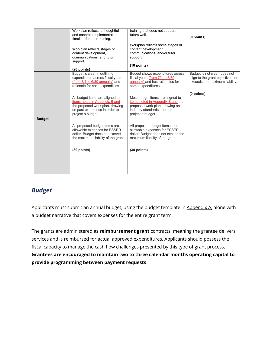|               | Workplan reflects a thoughtful<br>and concrete implementation<br>timeline for tutor training.<br>Workplan reflects stages of<br>content development,<br>communications, and tutor<br>support.<br>$(20$ points) | training that does not support<br>tutors well.<br>Workplan reflects some stages of<br>content development,<br>communications, and/or tutor<br>support.<br>$(10$ points) | (0 points)                                                                                           |
|---------------|----------------------------------------------------------------------------------------------------------------------------------------------------------------------------------------------------------------|-------------------------------------------------------------------------------------------------------------------------------------------------------------------------|------------------------------------------------------------------------------------------------------|
|               | Budget is clear in outlining<br>expenditures across fiscal years<br>(from 7/1 to 6/30 annually) and<br>rationale for each expenditure.                                                                         | Budget shows expenditures across<br>fiscal years (from 7/1 to 6/30<br>annually) and has rationales for<br>some expenditures.                                            | Budget is not clear, does not<br>align to the grant objectives, or<br>exceeds the maximum liability. |
| <b>Budget</b> | All budget items are aligned to<br>items noted in Appendix B and<br>the proposed work plan, drawing<br>on past experience in order to<br>project a budget.                                                     | Most budget items are aligned to<br>items noted in Appendix B and the<br>proposed work plan, drawing on<br>industry standards in order to<br>project a budget.          | (0 points)                                                                                           |
|               | All proposed budget items are<br>allowable expenses for ESSER<br>dollar. Budget does not exceed<br>the maximum liability of the grant.                                                                         | All proposed budget items are<br>allowable expenses for ESSER<br>dollar. Budget does not exceed the<br>maximum liability of the grant.                                  |                                                                                                      |
|               | $(30$ points)                                                                                                                                                                                                  | $(30$ points)                                                                                                                                                           |                                                                                                      |

## <span id="page-7-0"></span>*Budget*

Applicants must submit an annual budget, using the budget template in [Appendix A,](https://docs.google.com/document/d/1r9d1oHlvFBk0nXaMLbtBvY22SwzEbVL8/edit#heading=h.tyjcwt) along with a budget narrative that covers expenses for the entire grant term.

The grants are administered as **reimbursement grant** contracts, meaning the grantee delivers services and is reimbursed for actual approved expenditures. Applicants should possess the fiscal capacity to manage the cash flow challenges presented by this type of grant process. **Grantees are encouraged to maintain two to three calendar months operating capital to provide programming between payment requests**.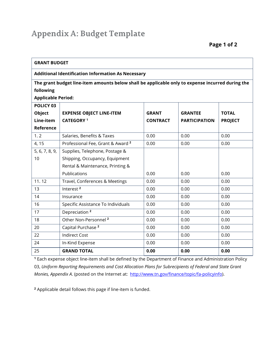| <b>GRANT BUDGET</b>                                                                              |                                    |                 |                      |                |
|--------------------------------------------------------------------------------------------------|------------------------------------|-----------------|----------------------|----------------|
| <b>Additional Identification Information As Necessary</b>                                        |                                    |                 |                      |                |
| The grant budget line-item amounts below shall be applicable only to expense incurred during the |                                    |                 |                      |                |
| following                                                                                        |                                    |                 |                      |                |
| <b>Applicable Period:</b>                                                                        |                                    |                 |                      |                |
| POLICY 03                                                                                        |                                    |                 |                      |                |
| Object                                                                                           | <b>EXPENSE OBJECT LINE-ITEM</b>    | <b>GRANT</b>    | <b>GRANTEE</b>       | <b>TOTAL</b>   |
| Line-item                                                                                        | <b>CATEGORY 1</b>                  | <b>CONTRACT</b> | <b>PARTICIPATION</b> | <b>PROJECT</b> |
| Reference                                                                                        |                                    |                 |                      |                |
| 1.2                                                                                              | Salaries, Benefits & Taxes         | 0.00            | 0.00                 | 0.00           |
| 4, 15                                                                                            | Professional Fee, Grant & Award 2  | 0.00            | 0.00                 | 0.00           |
| 5, 6, 7, 8, 9,                                                                                   | Supplies, Telephone, Postage &     |                 |                      |                |
| 10                                                                                               | Shipping, Occupancy, Equipment     |                 |                      |                |
|                                                                                                  | Rental & Maintenance, Printing &   |                 |                      |                |
|                                                                                                  | Publications                       | 0.00            | 0.00                 | 0.00           |
| 11.12                                                                                            | Travel, Conferences & Meetings     | 0.00            | 0.00                 | 0.00           |
| 13                                                                                               | Interest <sup>2</sup>              | 0.00            | 0.00                 | 0.00           |
| 14                                                                                               | Insurance                          | 0.00            | 0.00                 | 0.00           |
| 16                                                                                               | Specific Assistance To Individuals | 0.00            | 0.00                 | 0.00           |
| 17                                                                                               | Depreciation <sup>2</sup>          | 0.00            | 0.00                 | 0.00           |
| 18                                                                                               | Other Non-Personnel <sup>2</sup>   | 0.00            | 0.00                 | 0.00           |
| 20                                                                                               | Capital Purchase <sup>2</sup>      | 0.00            | 0.00                 | 0.00           |
| 22                                                                                               | <b>Indirect Cost</b>               | 0.00            | 0.00                 | 0.00           |
| 24                                                                                               | In-Kind Expense                    | 0.00            | 0.00                 | 0.00           |
| 25                                                                                               | <b>GRAND TOTAL</b>                 | 0.00            | 0.00                 | 0.00           |

**<sup>1</sup>** Each expense object line-item shall be defined by the Department of Finance and Administration Policy 03, *Uniform Reporting Requirements and Cost Allocation Plans for Subrecipients of Federal and State Grant Monies, Appendix A.* (posted on the Internet at: [http://www.tn.gov/finance/topic/fa-policyinfo\)](http://www.tn.gov/finance/topic/fa-policyinfo).

**<sup>2</sup>** Applicable detail follows this page if line-item is funded.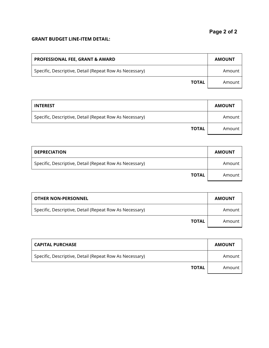#### **GRANT BUDGET LINE-ITEM DETAIL:**

| <b>PROFESSIONAL FEE, GRANT &amp; AWARD</b>              | <b>AMOUNT</b> |
|---------------------------------------------------------|---------------|
| Specific, Descriptive, Detail (Repeat Row As Necessary) | Amount        |
| <b>TOTAL</b>                                            | Amount        |

| <b>INTEREST</b>                                         | <b>AMOUNT</b> |
|---------------------------------------------------------|---------------|
| Specific, Descriptive, Detail (Repeat Row As Necessary) | Amount        |
| <b>TOTAL</b>                                            | Amount        |

| <b>DEPRECIATION</b>                                     | <b>AMOUNT</b> |
|---------------------------------------------------------|---------------|
| Specific, Descriptive, Detail (Repeat Row As Necessary) | Amount        |
| <b>TOTAL</b>                                            | Amount        |

| <b>OTHER NON-PERSONNEL</b>                              | <b>AMOUNT</b> |
|---------------------------------------------------------|---------------|
| Specific, Descriptive, Detail (Repeat Row As Necessary) | Amount        |
| <b>TOTAL</b>                                            | Amount        |

| <b>CAPITAL PURCHASE</b>                                 | <b>AMOUNT</b> |
|---------------------------------------------------------|---------------|
| Specific, Descriptive, Detail (Repeat Row As Necessary) | Amount        |
| <b>TOTAL</b>                                            | Amount        |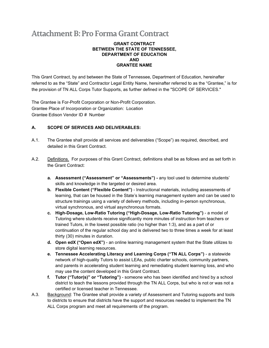## **Attachment B: Pro Forma Grant Contract**

#### **GRANT CONTRACT BETWEEN THE STATE OF TENNESSEE, DEPARTMENT OF EDUCATION AND GRANTEE NAME**

This Grant Contract, by and between the State of Tennessee, Department of Education, hereinafter referred to as the "State" and Contractor Legal Entity Name, hereinafter referred to as the "Grantee," is for the provision of TN ALL Corps Tutor Supports, as further defined in the "SCOPE OF SERVICES."

The Grantee is For-Profit Corporation or Non-Profit Corporation. Grantee Place of Incorporation or Organization: Location Grantee Edison Vendor ID # Number

#### **A. SCOPE OF SERVICES AND DELIVERABLES:**

- A.1. The Grantee shall provide all services and deliverables ("Scope") as required, described, and detailed in this Grant Contract.
- A.2. Definitions. For purposes of this Grant Contract, definitions shall be as follows and as set forth in the Grant Contract:
	- **a. Assessment ("Assessment" or "Assessments") -** any tool used to determine students' skills and knowledge in the targeted or desired area.
	- **b. Flexible Content ("Flexible Content")** Instructional materials, including assessments of learning, that can be housed in the State's learning management system and can be used to structure trainings using a variety of delivery methods, including in-person synchronous, virtual synchronous, and virtual asynchronous formats.
	- **c. High-Dosage, Low-Ratio Tutoring ("High-Dosage, Low-Ratio Tutoring")** a model of Tutoring where students receive significantly more minutes of instruction from teachers or trained Tutors, in the lowest possible ratio (no higher than 1:3), and as a part of or continuation of the regular school day and is delivered two to three times a week for at least thirty (30) minutes in duration.
	- **d. Open edX ("Open edX")**  an online learning management system that the State utilizes to store digital learning resources.
	- **e. Tennessee Accelerating Literacy and Learning Corps ("TN ALL Corps")** a statewide network of high-quality Tutors to assist LEAs, public charter schools, community partners, and parents in accelerating student learning and remediating student learning loss, and who may use the content developed in this Grant Contract.
	- **f. Tutor ("Tutor(s)" or "Tutoring")** someone who has been identified and hired by a school district to teach the lessons provided through the TN ALL Corps, but who is not or was not a certified or licensed teacher in Tennessee.
- A.3. Background: The Grantee shall provide a variety of Assessment and Tutoring supports and tools to districts to ensure that districts have the support and resources needed to implement the TN ALL Corps program and meet all requirements of the program.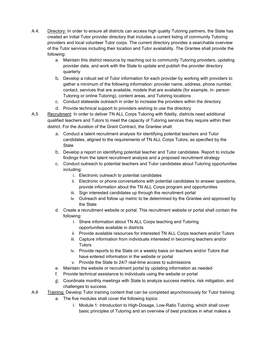- A.4. Directory: In order to ensure all districts can access high quality Tutoring partners, the State has created an initial Tutor provider directory that includes a current listing of community Tutoring providers and local volunteer Tutor corps. The current directory provides a searchable overview of the Tutor services including their location and Tutor availability. The Grantee shall provide the following:
	- a. Maintain this district resource by reaching out to community Tutoring providers, updating provider data, and work with the State to update and publish the provider directory quarterly
	- b. Develop a robust set of Tutor information for each provider by working with providers to gather a minimum of the following information: provider name, address, phone number, contact, services that are available, models that are available (for example, in- person Tutoring or online Tutoring), content areas, and Tutoring locations
	- c. Conduct statewide outreach in order to increase the providers within the directory
	- d. Provide technical support to providers wishing to use the directory
- A.5 Recruitment: In order to deliver TN ALL Corps Tutoring with fidelity, districts need additional qualified teachers and Tutors to meet the capacity of Tutoring services they require within their district. For the duration of the Grant Contract, the Grantee shall:
	- a. Conduct a talent recruitment analysis for identifying potential teachers and Tutor candidates, aligned to the requirements of TN ALL Corps Tutors, as specified by the **State**
	- b. Develop a report on identifying potential teacher and Tutor candidates. Report to include findings from the talent recruitment analysis and a proposed recruitment strategy
	- c. Conduct outreach to potential teachers and Tutor candidates about Tutoring opportunities including:
		- i. Electronic outreach to potential candidates
		- ii. Electronic or phone conversations with potential candidates to answer questions, provide information about the TN ALL Corps program and opportunities
		- iii. Sign interested candidates up through the recruitment portal
		- iv. Outreach and follow up metric to be determined by the Grantee and approved by the State
	- d. Create a recruitment website or portal. This recruitment website or portal shall contain the following:
		- i. Share information about TN ALL Corps teaching and Tutoring opportunities available in districts
		- ii. Provide available resources for interested TN ALL Corps teachers and/or Tutors
		- iii. Capture information from individuals interested in becoming teachers and/or **Tutors**
		- iv. Provide reports to the State on a weekly basis on teachers and/or Tutors that have entered information in the website or portal
		- v. Provide the State to 24/7 real-time access to submissions
	- e. Maintain the website or recruitment portal by updating information as needed
	- f. Provide technical assistance to individuals using the website or portal
	- g. Coordinate monthly meetings with State to analyze success metrics, risk mitigation, and challenges to success.
- A.6 Training: Develop Tutor training content that can be completed asynchronously for Tutor training:
	- a. The five modules shall cover the following topics:
		- i. Module 1: introduction to High-Dosage, Low-Ratio Tutoring, which shall cover basic principles of Tutoring and an overview of best practices in what makes a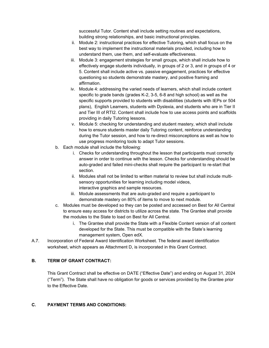successful Tutor. Content shall include setting routines and expectations, building strong relationships, and basic instructional principles.

- ii. Module 2: instructional practices for effective Tutoring, which shall focus on the best way to implement the instructional materials provided, including how to understand them, use them, and self-evaluate effectiveness.
- iii. Module 3: engagement strategies for small groups, which shall include how to effectively engage students individually, in groups of 2 or 3, and in groups of 4 or 5. Content shall include active vs. passive engagement, practices for effective questioning so students demonstrate mastery, and positive framing and affirmation.
- iv. Module 4: addressing the varied needs of learners, which shall include content specific to grade bands (grades K-2, 3-5, 6-8 and high school) as well as the specific supports provided to students with disabilities (students with IEPs or 504 plans), English Learners, students with Dyslexia, and students who are in Tier II and Tier III of RTI2. Content shall include how to use access points and scaffolds providing in daily Tutoring lessons.
- v. Module 5: checking for understanding and student mastery, which shall include how to ensure students master daily Tutoring content, reinforce understanding during the Tutor session, and how to re-direct misconceptions as well as how to use progress monitoring tools to adapt Tutor sessions.
- b. Each module shall include the following:
	- i. Checks for understanding throughout the lesson that participants must correctly answer in order to continue with the lesson. Checks for understanding should be auto-graded and failed mini-checks shall require the participant to re-start that section.
	- ii. Modules shall not be limited to written material to review but shall include multisensory opportunities for learning including model videos, interactive graphics and sample resources.
	- iii. Module assessments that are auto-graded and require a participant to demonstrate mastery on 80% of items to move to next module.
- c. Modules must be developed so they can be posted and accessed on Best for All Central to ensure easy access for districts to utilize across the state. The Grantee shall provide the modules to the State to load on Best for All Central.
	- i. The Grantee shall provide the State with a Flexible Content version of all content developed for the State. This must be compatible with the State's learning management system, Open edX.
- A.7. Incorporation of Federal Award Identification Worksheet. The federal award identification worksheet, which appears as Attachment D, is incorporated in this Grant Contract.

#### **B. TERM OF GRANT CONTRACT:**

This Grant Contract shall be effective on DATE ("Effective Date") and ending on August 31, 2024 ("Term"). The State shall have no obligation for goods or services provided by the Grantee prior to the Effective Date.

#### **C. PAYMENT TERMS AND CONDITIONS:**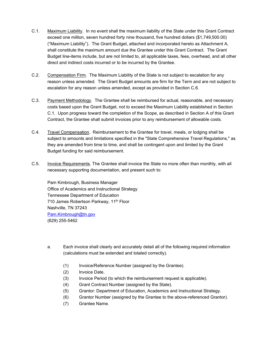- C.1. Maximum Liability. In no event shall the maximum liability of the State under this Grant Contract exceed one million, seven hundred forty nine thousand, five hundred dollars (\$1,749,500.00) ("Maximum Liability"). The Grant Budget, attached and incorporated hereto as Attachment A, shall constitute the maximum amount due the Grantee under this Grant Contract. The Grant Budget line-items include, but are not limited to, all applicable taxes, fees, overhead, and all other direct and indirect costs incurred or to be incurred by the Grantee.
- C.2. Compensation Firm. The Maximum Liability of the State is not subject to escalation for any reason unless amended. The Grant Budget amounts are firm for the Term and are not subject to escalation for any reason unless amended, except as provided in Section C.6.
- C.3. Payment Methodology. The Grantee shall be reimbursed for actual, reasonable, and necessary costs based upon the Grant Budget, not to exceed the Maximum Liability established in Section C.1. Upon progress toward the completion of the Scope, as described in Section A of this Grant Contract, the Grantee shall submit invoices prior to any reimbursement of allowable costs.
- C.4. Travel Compensation. Reimbursement to the Grantee for travel, meals, or lodging shall be subject to amounts and limitations specified in the "State Comprehensive Travel Regulations," as they are amended from time to time, and shall be contingent upon and limited by the Grant Budget funding for said reimbursement.
- C.5. Invoice Requirements. The Grantee shall invoice the State no more often than monthly, with all necessary supporting documentation, and present such to:

Pam Kimbrough, Business Manager Office of Academics and Instructional Strategy Tennessee Department of Education 710 James Robertson Parkway, 11<sup>th</sup> Floor Nashville, TN 37243 [Pam.Kimbrough@tn.gov](mailto:Pam.Kimbrough@tn.gov) (629) 255-5462

- a. Each invoice shall clearly and accurately detail all of the following required information (calculations must be extended and totaled correctly).
	- (1) Invoice/Reference Number (assigned by the Grantee).
	- (2) Invoice Date.
	- (3) Invoice Period (to which the reimbursement request is applicable).
	- (4) Grant Contract Number (assigned by the State).
	- (5) Grantor: Department of Education, Academics and Instructional Strategy.
	- (6) Grantor Number (assigned by the Grantee to the above-referenced Grantor).
	- (7) Grantee Name.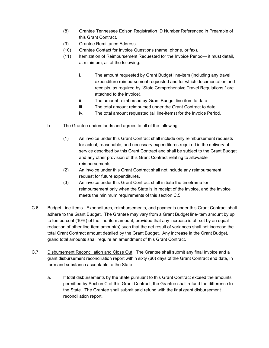- (8) Grantee Tennessee Edison Registration ID Number Referenced in Preamble of this Grant Contract.
- (9) Grantee Remittance Address.
- (10) Grantee Contact for Invoice Questions (name, phone, or fax).
- (11) Itemization of Reimbursement Requested for the Invoice Period— it must detail, at minimum, all of the following:
	- i. The amount requested by Grant Budget line-item (including any travel expenditure reimbursement requested and for which documentation and receipts, as required by "State Comprehensive Travel Regulations," are attached to the invoice).
	- ii. The amount reimbursed by Grant Budget line-item to date.
	- iii. The total amount reimbursed under the Grant Contract to date.
	- iv. The total amount requested (all line-items) for the Invoice Period.
- b. The Grantee understands and agrees to all of the following.
	- (1) An invoice under this Grant Contract shall include only reimbursement requests for actual, reasonable, and necessary expenditures required in the delivery of service described by this Grant Contract and shall be subject to the Grant Budget and any other provision of this Grant Contract relating to allowable reimbursements.
	- (2) An invoice under this Grant Contract shall not include any reimbursement request for future expenditures.
	- (3) An invoice under this Grant Contract shall initiate the timeframe for reimbursement only when the State is in receipt of the invoice, and the invoice meets the minimum requirements of this section C.5.
- C.6. Budget Line-items. Expenditures, reimbursements, and payments under this Grant Contract shall adhere to the Grant Budget. The Grantee may vary from a Grant Budget line-item amount by up to ten percent (10%) of the line-item amount, provided that any increase is off-set by an equal reduction of other line-item amount(s) such that the net result of variances shall not increase the total Grant Contract amount detailed by the Grant Budget. Any increase in the Grant Budget, grand total amounts shall require an amendment of this Grant Contract.
- C.7. Disbursement Reconciliation and Close Out. The Grantee shall submit any final invoice and a grant disbursement reconciliation report within sixty (60) days of the Grant Contract end date, in form and substance acceptable to the State.
	- a. If total disbursements by the State pursuant to this Grant Contract exceed the amounts permitted by Section C of this Grant Contract, the Grantee shall refund the difference to the State. The Grantee shall submit said refund with the final grant disbursement reconciliation report.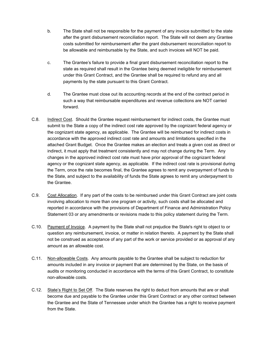- b. The State shall not be responsible for the payment of any invoice submitted to the state after the grant disbursement reconciliation report. The State will not deem any Grantee costs submitted for reimbursement after the grant disbursement reconciliation report to be allowable and reimbursable by the State, and such invoices will NOT be paid.
- c. The Grantee's failure to provide a final grant disbursement reconciliation report to the state as required shall result in the Grantee being deemed ineligible for reimbursement under this Grant Contract, and the Grantee shall be required to refund any and all payments by the state pursuant to this Grant Contract.
- d. The Grantee must close out its accounting records at the end of the contract period in such a way that reimbursable expenditures and revenue collections are NOT carried forward.
- C.8. Indirect Cost. Should the Grantee request reimbursement for indirect costs, the Grantee must submit to the State a copy of the indirect cost rate approved by the cognizant federal agency or the cognizant state agency, as applicable. The Grantee will be reimbursed for indirect costs in accordance with the approved indirect cost rate and amounts and limitations specified in the attached Grant Budget. Once the Grantee makes an election and treats a given cost as direct or indirect, it must apply that treatment consistently and may not change during the Term. Any changes in the approved indirect cost rate must have prior approval of the cognizant federal agency or the cognizant state agency, as applicable. If the indirect cost rate is provisional during the Term, once the rate becomes final, the Grantee agrees to remit any overpayment of funds to the State, and subject to the availability of funds the State agrees to remit any underpayment to the Grantee.
- C.9. Cost Allocation. If any part of the costs to be reimbursed under this Grant Contract are joint costs involving allocation to more than one program or activity, such costs shall be allocated and reported in accordance with the provisions of Department of Finance and Administration Policy Statement 03 or any amendments or revisions made to this policy statement during the Term.
- C.10. Payment of Invoice. A payment by the State shall not prejudice the State's right to object to or question any reimbursement, invoice, or matter in relation thereto. A payment by the State shall not be construed as acceptance of any part of the work or service provided or as approval of any amount as an allowable cost.
- C.11. Non-allowable Costs. Any amounts payable to the Grantee shall be subject to reduction for amounts included in any invoice or payment that are determined by the State, on the basis of audits or monitoring conducted in accordance with the terms of this Grant Contract, to constitute non-allowable costs.
- C.12. State's Right to Set Off. The State reserves the right to deduct from amounts that are or shall become due and payable to the Grantee under this Grant Contract or any other contract between the Grantee and the State of Tennessee under which the Grantee has a right to receive payment from the State.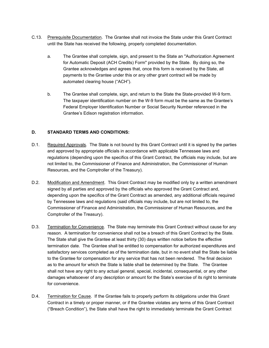- C.13. Prerequisite Documentation. The Grantee shall not invoice the State under this Grant Contract until the State has received the following, properly completed documentation.
	- a. The Grantee shall complete, sign, and present to the State an "Authorization Agreement for Automatic Deposit (ACH Credits) Form" provided by the State. By doing so, the Grantee acknowledges and agrees that, once this form is received by the State, all payments to the Grantee under this or any other grant contract will be made by automated clearing house ("ACH").
	- b. The Grantee shall complete, sign, and return to the State the State-provided W-9 form. The taxpayer identification number on the W-9 form must be the same as the Grantee's Federal Employer Identification Number or Social Security Number referenced in the Grantee's Edison registration information.

#### **D. STANDARD TERMS AND CONDITIONS:**

- D.1. Required Approvals. The State is not bound by this Grant Contract until it is signed by the parties and approved by appropriate officials in accordance with applicable Tennessee laws and regulations (depending upon the specifics of this Grant Contract, the officials may include, but are not limited to, the Commissioner of Finance and Administration, the Commissioner of Human Resources, and the Comptroller of the Treasury).
- D.2. Modification and Amendment. This Grant Contract may be modified only by a written amendment signed by all parties and approved by the officials who approved the Grant Contract and, depending upon the specifics of the Grant Contract as amended, any additional officials required by Tennessee laws and regulations (said officials may include, but are not limited to, the Commissioner of Finance and Administration, the Commissioner of Human Resources, and the Comptroller of the Treasury).
- D.3. Termination for Convenience. The State may terminate this Grant Contract without cause for any reason. A termination for convenience shall not be a breach of this Grant Contract by the State. The State shall give the Grantee at least thirty (30) days written notice before the effective termination date. The Grantee shall be entitled to compensation for authorized expenditures and satisfactory services completed as of the termination date, but in no event shall the State be liable to the Grantee for compensation for any service that has not been rendered. The final decision as to the amount for which the State is liable shall be determined by the State. The Grantee shall not have any right to any actual general, special, incidental, consequential, or any other damages whatsoever of any description or amount for the State's exercise of its right to terminate for convenience.
- D.4. Termination for Cause. If the Grantee fails to properly perform its obligations under this Grant Contract in a timely or proper manner, or if the Grantee violates any terms of this Grant Contract ("Breach Condition"), the State shall have the right to immediately terminate the Grant Contract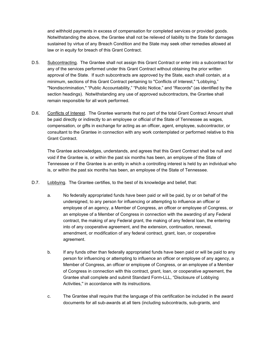and withhold payments in excess of compensation for completed services or provided goods. Notwithstanding the above, the Grantee shall not be relieved of liability to the State for damages sustained by virtue of any Breach Condition and the State may seek other remedies allowed at law or in equity for breach of this Grant Contract.

- D.5. Subcontracting. The Grantee shall not assign this Grant Contract or enter into a subcontract for any of the services performed under this Grant Contract without obtaining the prior written approval of the State. If such subcontracts are approved by the State, each shall contain, at a minimum, sections of this Grant Contract pertaining to "Conflicts of Interest," "Lobbying," "Nondiscrimination," "Public Accountability," "Public Notice," and "Records" (as identified by the section headings). Notwithstanding any use of approved subcontractors, the Grantee shall remain responsible for all work performed.
- D.6. Conflicts of Interest. The Grantee warrants that no part of the total Grant Contract Amount shall be paid directly or indirectly to an employee or official of the State of Tennessee as wages, compensation, or gifts in exchange for acting as an officer, agent, employee, subcontractor, or consultant to the Grantee in connection with any work contemplated or performed relative to this Grant Contract.

The Grantee acknowledges, understands, and agrees that this Grant Contract shall be null and void if the Grantee is, or within the past six months has been, an employee of the State of Tennessee or if the Grantee is an entity in which a controlling interest is held by an individual who is, or within the past six months has been, an employee of the State of Tennessee.

- D.7. Lobbying. The Grantee certifies, to the best of its knowledge and belief, that:
	- a. No federally appropriated funds have been paid or will be paid, by or on behalf of the undersigned, to any person for influencing or attempting to influence an officer or employee of an agency, a Member of Congress, an officer or employee of Congress, or an employee of a Member of Congress in connection with the awarding of any Federal contract, the making of any Federal grant, the making of any federal loan, the entering into of any cooperative agreement, and the extension, continuation, renewal, amendment, or modification of any federal contract, grant, loan, or cooperative agreement.
	- b. If any funds other than federally appropriated funds have been paid or will be paid to any person for influencing or attempting to influence an officer or employee of any agency, a Member of Congress, an officer or employee of Congress, or an employee of a Member of Congress in connection with this contract, grant, loan, or cooperative agreement, the Grantee shall complete and submit Standard Form-LLL, "Disclosure of Lobbying Activities,'' in accordance with its instructions.
	- c. The Grantee shall require that the language of this certification be included in the award documents for all sub-awards at all tiers (including subcontracts, sub-grants, and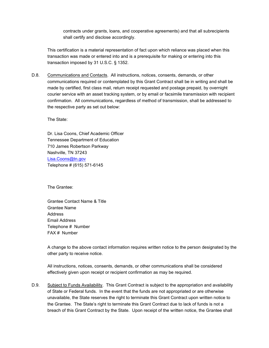contracts under grants, loans, and cooperative agreements) and that all subrecipients shall certify and disclose accordingly.

This certification is a material representation of fact upon which reliance was placed when this transaction was made or entered into and is a prerequisite for making or entering into this transaction imposed by 31 U.S.C. § 1352.

D.8. Communications and Contacts. All instructions, notices, consents, demands, or other communications required or contemplated by this Grant Contract shall be in writing and shall be made by certified, first class mail, return receipt requested and postage prepaid, by overnight courier service with an asset tracking system, or by email or facsimile transmission with recipient confirmation. All communications, regardless of method of transmission, shall be addressed to the respective party as set out below:

The State:

Dr. Lisa Coons, Chief Academic Officer Tennessee Department of Education 710 James Robertson Parkway Nashville, TN 37243 [Lisa.Coons@tn.gov](mailto:Lisa.Coons@tn.gov) Telephone # (615) 571-6145

The Grantee:

Grantee Contact Name & Title Grantee Name Address Email Address Telephone # Number FAX # Number

A change to the above contact information requires written notice to the person designated by the other party to receive notice.

All instructions, notices, consents, demands, or other communications shall be considered effectively given upon receipt or recipient confirmation as may be required.

D.9. Subject to Funds Availability. This Grant Contract is subject to the appropriation and availability of State or Federal funds. In the event that the funds are not appropriated or are otherwise unavailable, the State reserves the right to terminate this Grant Contract upon written notice to the Grantee. The State's right to terminate this Grant Contract due to lack of funds is not a breach of this Grant Contract by the State. Upon receipt of the written notice, the Grantee shall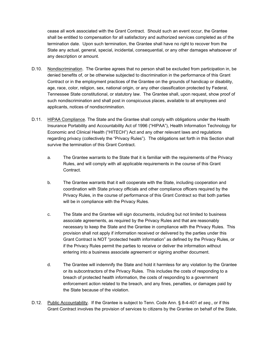cease all work associated with the Grant Contract. Should such an event occur, the Grantee shall be entitled to compensation for all satisfactory and authorized services completed as of the termination date. Upon such termination, the Grantee shall have no right to recover from the State any actual, general, special, incidental, consequential, or any other damages whatsoever of any description or amount.

- D.10. Nondiscrimination. The Grantee agrees that no person shall be excluded from participation in, be denied benefits of, or be otherwise subjected to discrimination in the performance of this Grant Contract or in the employment practices of the Grantee on the grounds of handicap or disability, age, race, color, religion, sex, national origin, or any other classification protected by Federal, Tennessee State constitutional, or statutory law. The Grantee shall, upon request, show proof of such nondiscrimination and shall post in conspicuous places, available to all employees and applicants, notices of nondiscrimination.
- D.11. HIPAA Compliance. The State and the Grantee shall comply with obligations under the Health Insurance Portability and Accountability Act of 1996 ("HIPAA"), Health Information Technology for Economic and Clinical Health ("HITECH") Act and any other relevant laws and regulations regarding privacy (collectively the "Privacy Rules"). The obligations set forth in this Section shall survive the termination of this Grant Contract.
	- a. The Grantee warrants to the State that it is familiar with the requirements of the Privacy Rules, and will comply with all applicable requirements in the course of this Grant Contract.
	- b. The Grantee warrants that it will cooperate with the State, including cooperation and coordination with State privacy officials and other compliance officers required by the Privacy Rules, in the course of performance of this Grant Contract so that both parties will be in compliance with the Privacy Rules.
	- c. The State and the Grantee will sign documents, including but not limited to business associate agreements, as required by the Privacy Rules and that are reasonably necessary to keep the State and the Grantee in compliance with the Privacy Rules. This provision shall not apply if information received or delivered by the parties under this Grant Contract is NOT "protected health information" as defined by the Privacy Rules, or if the Privacy Rules permit the parties to receive or deliver the information without entering into a business associate agreement or signing another document.
	- d. The Grantee will indemnify the State and hold it harmless for any violation by the Grantee or its subcontractors of the Privacy Rules. This includes the costs of responding to a breach of protected health information, the costs of responding to a government enforcement action related to the breach, and any fines, penalties, or damages paid by the State because of the violation.
- D.12. Public Accountability. If the Grantee is subject to Tenn. Code Ann. § 8-4-401 *et seq*., or if this Grant Contract involves the provision of services to citizens by the Grantee on behalf of the State,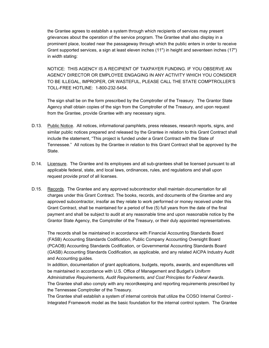the Grantee agrees to establish a system through which recipients of services may present grievances about the operation of the service program. The Grantee shall also display in a prominent place, located near the passageway through which the public enters in order to receive Grant supported services, a sign at least eleven inches (11") in height and seventeen inches (17") in width stating:

NOTICE: THIS AGENCY IS A RECIPIENT OF TAXPAYER FUNDING. IF YOU OBSERVE AN AGENCY DIRECTOR OR EMPLOYEE ENGAGING IN ANY ACTIVITY WHICH YOU CONSIDER TO BE ILLEGAL, IMPROPER, OR WASTEFUL, PLEASE CALL THE STATE COMPTROLLER'S TOLL-FREE HOTLINE: 1-800-232-5454.

The sign shall be on the form prescribed by the Comptroller of the Treasury. The Grantor State Agency shall obtain copies of the sign from the Comptroller of the Treasury, and upon request from the Grantee, provide Grantee with any necessary signs.

- D.13. Public Notice. All notices, informational pamphlets, press releases, research reports, signs, and similar public notices prepared and released by the Grantee in relation to this Grant Contract shall include the statement, "This project is funded under a Grant Contract with the State of Tennessee." All notices by the Grantee in relation to this Grant Contract shall be approved by the State.
- D.14. Licensure. The Grantee and its employees and all sub-grantees shall be licensed pursuant to all applicable federal, state, and local laws, ordinances, rules, and regulations and shall upon request provide proof of all licenses.
- D.15. Records. The Grantee and any approved subcontractor shall maintain documentation for all charges under this Grant Contract. The books, records, and documents of the Grantee and any approved subcontractor, insofar as they relate to work performed or money received under this Grant Contract, shall be maintained for a period of five (5) full years from the date of the final payment and shall be subject to audit at any reasonable time and upon reasonable notice by the Grantor State Agency, the Comptroller of the Treasury, or their duly appointed representatives.

The records shall be maintained in accordance with Financial Accounting Standards Board (FASB) Accounting Standards Codification, Public Company Accounting Oversight Board (PCAOB) Accounting Standards Codification, or Governmental Accounting Standards Board (GASB) Accounting Standards Codification, as applicable, and any related AICPA Industry Audit and Accounting guides.

In addition, documentation of grant applications, budgets, reports, awards, and expenditures will be maintained in accordance with U.S. Office of Management and Budget's *Uniform Administrative Requirements, Audit Requirements, and Cost Principles for Federal Awards*. The Grantee shall also comply with any recordkeeping and reporting requirements prescribed by the Tennessee Comptroller of the Treasury.

The Grantee shall establish a system of internal controls that utilize the COSO Internal Control - Integrated Framework model as the basic foundation for the internal control system. The Grantee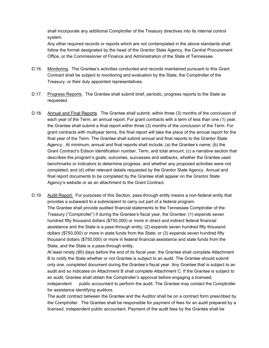shall incorporate any additional Comptroller of the Treasury directives into its internal control system.

Any other required records or reports which are not contemplated in the above standards shall follow the format designated by the head of the Grantor State Agency, the Central Procurement Office, or the Commissioner of Finance and Administration of the State of Tennessee.

- D.16. Monitoring. The Grantee's activities conducted and records maintained pursuant to this Grant Contract shall be subject to monitoring and evaluation by the State, the Comptroller of the Treasury, or their duly appointed representatives.
- D.17. Progress Reports. The Grantee shall submit brief, periodic, progress reports to the State as requested.
- D.18. Annual and Final Reports. The Grantee shall submit, within three (3) months of the conclusion of each year of the Term, an annual report. For grant contracts with a term of less than one (1) year, the Grantee shall submit a final report within three (3) months of the conclusion of the Term. For grant contracts with multiyear terms, the final report will take the place of the annual report for the final year of the Term. The Grantee shall submit annual and final reports to the Grantor State Agency. At minimum, annual and final reports shall include: (a) the Grantee's name; (b) the Grant Contract's Edison identification number, Term, and total amount; (c) a narrative section that describes the program's goals, outcomes, successes and setbacks, whether the Grantee used benchmarks or indicators to determine progress, and whether any proposed activities were not completed; and (d) other relevant details requested by the Grantor State Agency. Annual and final report documents to be completed by the Grantee shall appear on the Grantor State Agency's website or as an attachment to the Grant Contract.
- D.19. Audit Report. For purposes of this Section, pass-through entity means a non-federal entity that provides a subaward to a subrecipient to carry out part of a federal program. The Grantee shall provide audited financial statements to the Tennessee Comptroller of the Treasury ("Comptroller") if during the Grantee's fiscal year, the Grantee: (1) expends seven hundred fifty thousand dollars (\$750,000) or more in direct and indirect federal financial assistance and the State is a pass-through entity; (2) expends seven hundred fifty thousand dollars (\$750,000) or more in state funds from the State; or (3) expends seven hundred fifty thousand dollars (\$750,000) or more in federal financial assistance and state funds from the State, and the State is a pass-through entity.

At least ninety (90) days before the end of its fiscal year, the Grantee shall complete Attachment B to notify the State whether or not Grantee is subject to an audit. The Grantee should submit only one, completed document during the Grantee's fiscal year. Any Grantee that is subject to an audit and so indicates on Attachment B shall complete Attachment C. If the Grantee is subject to an audit, Grantee shall obtain the Comptroller's approval before engaging a licensed,

independent public accountant to perform the audit. The Grantee may contact the Comptroller for assistance identifying auditors.

The audit contract between the Grantee and the Auditor shall be on a contract form prescribed by the Comptroller. The Grantee shall be responsible for payment of fees for an audit prepared by a licensed, independent public accountant. Payment of the audit fees by the Grantee shall be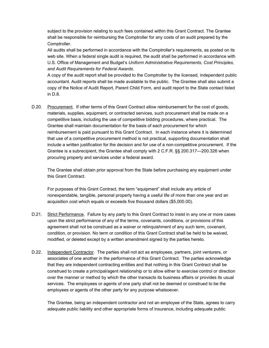subject to the provision relating to such fees contained within this Grant Contract. The Grantee shall be responsible for reimbursing the Comptroller for any costs of an audit prepared by the Comptroller.

All audits shall be performed in accordance with the Comptroller's requirements, as posted on its web site. When a federal single audit is required, the audit shall be performed in accordance with U.S. Office of Management and Budget's *Uniform Administrative Requirements, Cost Principles, and Audit Requirements for Federal Awards*.

A copy of the audit report shall be provided to the Comptroller by the licensed, independent public accountant. Audit reports shall be made available to the public. The Grantee shall also submit a copy of the Notice of Audit Report, Parent Child Form, and audit report to the State contact listed in D.8.

D.20. Procurement. If other terms of this Grant Contract allow reimbursement for the cost of goods, materials, supplies, equipment, or contracted services, such procurement shall be made on a competitive basis, including the use of competitive bidding procedures, where practical. The Grantee shall maintain documentation for the basis of each procurement for which reimbursement is paid pursuant to this Grant Contract. In each instance where it is determined that use of a competitive procurement method is not practical, supporting documentation shall include a written justification for the decision and for use of a non-competitive procurement. If the Grantee is a subrecipient, the Grantee shall comply with 2 C.F.R. §§ 200.317—200.326 when procuring property and services under a federal award.

The Grantee shall obtain prior approval from the State before purchasing any equipment under this Grant Contract.

For purposes of this Grant Contract, the term "equipment" shall include any article of nonexpendable, tangible, personal property having a useful life of more than one year and an acquisition cost which equals or exceeds five thousand dollars (\$5,000.00).

- D.21. Strict Performance. Failure by any party to this Grant Contract to insist in any one or more cases upon the strict performance of any of the terms, covenants, conditions, or provisions of this agreement shall not be construed as a waiver or relinquishment of any such term, covenant, condition, or provision. No term or condition of this Grant Contract shall be held to be waived, modified, or deleted except by a written amendment signed by the parties hereto.
- D.22. Independent Contractor. The parties shall not act as employees, partners, joint venturers, or associates of one another in the performance of this Grant Contract. The parties acknowledge that they are independent contracting entities and that nothing in this Grant Contract shall be construed to create a principal/agent relationship or to allow either to exercise control or direction over the manner or method by which the other transacts its business affairs or provides its usual services. The employees or agents of one party shall not be deemed or construed to be the employees or agents of the other party for any purpose whatsoever.

The Grantee, being an independent contractor and not an employee of the State, agrees to carry adequate public liability and other appropriate forms of insurance, including adequate public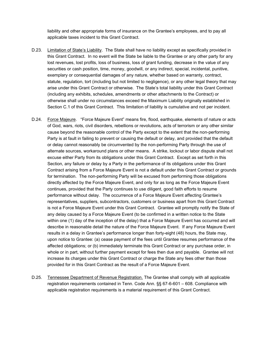liability and other appropriate forms of insurance on the Grantee's employees, and to pay all applicable taxes incident to this Grant Contract.

- D.23. Limitation of State's Liability. The State shall have no liability except as specifically provided in this Grant Contract. In no event will the State be liable to the Grantee or any other party for any lost revenues, lost profits, loss of business, loss of grant funding, decrease in the value of any securities or cash position, time, money, goodwill, or any indirect, special, incidental, punitive, exemplary or consequential damages of any nature, whether based on warranty, contract, statute, regulation, tort (including but not limited to negligence), or any other legal theory that may arise under this Grant Contract or otherwise. The State's total liability under this Grant Contract (including any exhibits, schedules, amendments or other attachments to the Contract) or otherwise shall under no circumstances exceed the Maximum Liability originally established in Section C.1 of this Grant Contract. This limitation of liability is cumulative and not per incident.
- D.24. Force Majeure. "Force Majeure Event" means fire, flood, earthquake, elements of nature or acts of God, wars, riots, civil disorders, rebellions or revolutions, acts of terrorism or any other similar cause beyond the reasonable control of the Party except to the extent that the non-performing Party is at fault in failing to prevent or causing the default or delay, and provided that the default or delay cannot reasonably be circumvented by the non-performing Party through the use of alternate sources, workaround plans or other means. A strike, lockout or labor dispute shall not excuse either Party from its obligations under this Grant Contract. Except as set forth in this Section, any failure or delay by a Party in the performance of its obligations under this Grant Contract arising from a Force Majeure Event is not a default under this Grant Contract or grounds for termination. The non-performing Party will be excused from performing those obligations directly affected by the Force Majeure Event, and only for as long as the Force Majeure Event continues, provided that the Party continues to use diligent, good faith efforts to resume performance without delay. The occurrence of a Force Majeure Event affecting Grantee's representatives, suppliers, subcontractors, customers or business apart from this Grant Contract is not a Force Majeure Event under this Grant Contract. Grantee will promptly notify the State of any delay caused by a Force Majeure Event (to be confirmed in a written notice to the State within one (1) day of the inception of the delay) that a Force Majeure Event has occurred and will describe in reasonable detail the nature of the Force Majeure Event. If any Force Majeure Event results in a delay in Grantee's performance longer than forty-eight (48) hours, the State may, upon notice to Grantee: (a) cease payment of the fees until Grantee resumes performance of the affected obligations; or (b) immediately terminate this Grant Contract or any purchase order, in whole or in part, without further payment except for fees then due and payable. Grantee will not increase its charges under this Grant Contract or charge the State any fees other than those provided for in this Grant Contract as the result of a Force Majeure Event.
- D.25. Tennessee Department of Revenue Registration. The Grantee shall comply with all applicable registration requirements contained in Tenn. Code Ann. §§ 67-6-601 – 608. Compliance with applicable registration requirements is a material requirement of this Grant Contract.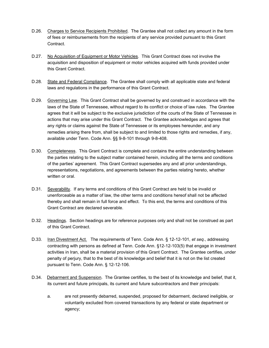- D.26. Charges to Service Recipients Prohibited. The Grantee shall not collect any amount in the form of fees or reimbursements from the recipients of any service provided pursuant to this Grant Contract.
- D.27. No Acquisition of Equipment or Motor Vehicles. This Grant Contract does not involve the acquisition and disposition of equipment or motor vehicles acquired with funds provided under this Grant Contract.
- D.28. State and Federal Compliance. The Grantee shall comply with all applicable state and federal laws and regulations in the performance of this Grant Contract.
- D.29. Governing Law. This Grant Contract shall be governed by and construed in accordance with the laws of the State of Tennessee, without regard to its conflict or choice of law rules. The Grantee agrees that it will be subject to the exclusive jurisdiction of the courts of the State of Tennessee in actions that may arise under this Grant Contract. The Grantee acknowledges and agrees that any rights or claims against the State of Tennessee or its employees hereunder, and any remedies arising there from, shall be subject to and limited to those rights and remedies, if any, available under Tenn. Code Ann. §§ 9-8-101 through 9-8-408.
- D.30. Completeness. This Grant Contract is complete and contains the entire understanding between the parties relating to the subject matter contained herein, including all the terms and conditions of the parties' agreement. This Grant Contract supersedes any and all prior understandings, representations, negotiations, and agreements between the parties relating hereto, whether written or oral.
- D.31. Severability. If any terms and conditions of this Grant Contract are held to be invalid or unenforceable as a matter of law, the other terms and conditions hereof shall not be affected thereby and shall remain in full force and effect. To this end, the terms and conditions of this Grant Contract are declared severable.
- D.32. Headings. Section headings are for reference purposes only and shall not be construed as part of this Grant Contract.
- D.33. Iran Divestment Act. The requirements of Tenn. Code Ann. § 12-12-101, *et seq*., addressing contracting with persons as defined at Tenn. Code Ann. §12-12-103(5) that engage in investment activities in Iran, shall be a material provision of this Grant Contract. The Grantee certifies, under penalty of perjury, that to the best of its knowledge and belief that it is not on the list created pursuant to Tenn. Code Ann. § 12-12-106.
- D.34. Debarment and Suspension. The Grantee certifies, to the best of its knowledge and belief, that it, its current and future principals, its current and future subcontractors and their principals:
	- a. are not presently debarred, suspended, proposed for debarment, declared ineligible, or voluntarily excluded from covered transactions by any federal or state department or agency;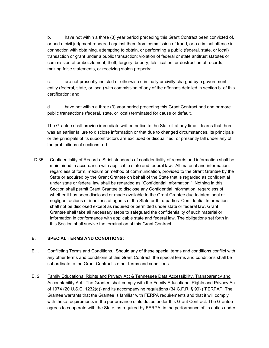b. have not within a three (3) year period preceding this Grant Contract been convicted of, or had a civil judgment rendered against them from commission of fraud, or a criminal offence in connection with obtaining, attempting to obtain, or performing a public (federal, state, or local) transaction or grant under a public transaction; violation of federal or state antitrust statutes or commission of embezzlement, theft, forgery, bribery, falsification, or destruction of records, making false statements, or receiving stolen property;

c. are not presently indicted or otherwise criminally or civilly charged by a government entity (federal, state, or local) with commission of any of the offenses detailed in section b. of this certification; and

d. have not within a three (3) year period preceding this Grant Contract had one or more public transactions (federal, state, or local) terminated for cause or default.

The Grantee shall provide immediate written notice to the State if at any time it learns that there was an earlier failure to disclose information or that due to changed circumstances, its principals or the principals of its subcontractors are excluded or disqualified, or presently fall under any of the prohibitions of sections a-d.

D.35. Confidentiality of Records. Strict standards of confidentiality of records and information shall be maintained in accordance with applicable state and federal law. All material and information, regardless of form, medium or method of communication, provided to the Grant Grantee by the State or acquired by the Grant Grantee on behalf of the State that is regarded as confidential under state or federal law shall be regarded as "Confidential Information." Nothing in this Section shall permit Grant Grantee to disclose any Confidential Information, regardless of whether it has been disclosed or made available to the Grant Grantee due to intentional or negligent actions or inactions of agents of the State or third parties. Confidential Information shall not be disclosed except as required or permitted under state or federal law. Grant Grantee shall take all necessary steps to safeguard the confidentiality of such material or information in conformance with applicable state and federal law. The obligations set forth in this Section shall survive the termination of this Grant Contract.

#### **E. SPECIAL TERMS AND CONDITIONS:**

- E.1. Conflicting Terms and Conditions. Should any of these special terms and conditions conflict with any other terms and conditions of this Grant Contract, the special terms and conditions shall be subordinate to the Grant Contract's other terms and conditions.
- E. 2. Family Educational Rights and Privacy Act & Tennessee Data Accessibility, Transparency and Accountability Act. The Grantee shall comply with the Family Educational Rights and Privacy Act of 1974 (20 U.S.C. 1232(g)) and its accompanying regulations (34 C.F.R. § 99) ("FERPA"). The Grantee warrants that the Grantee is familiar with FERPA requirements and that it will comply with these requirements in the performance of its duties under this Grant Contract. The Grantee agrees to cooperate with the State, as required by FERPA, in the performance of its duties under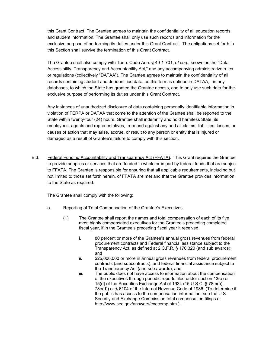this Grant Contract. The Grantee agrees to maintain the confidentiality of all education records and student information. The Grantee shall only use such records and information for the exclusive purpose of performing its duties under this Grant Contract. The obligations set forth in this Section shall survive the termination of this Grant Contract.

The Grantee shall also comply with Tenn. Code Ann. § 49-1-701, *et seq.*, known as the "Data Accessibility, Transparency and Accountability Act," and any accompanying administrative rules or regulations (collectively "DATAA"). The Grantee agrees to maintain the confidentiality of all records containing student and de-identified data, as this term is defined in DATAA, in any databases, to which the State has granted the Grantee access, and to only use such data for the exclusive purpose of performing its duties under this Grant Contract.

Any instances of unauthorized disclosure of data containing personally identifiable information in violation of FERPA or DATAA that come to the attention of the Grantee shall be reported to the State within twenty-four (24) hours. Grantee shall indemnify and hold harmless State, its employees, agents and representatives, from and against any and all claims, liabilities, losses, or causes of action that may arise, accrue, or result to any person or entity that is injured or damaged as a result of Grantee's failure to comply with this section.

E.3. Federal Funding Accountability and Transparency Act (FFATA). This Grant requires the Grantee to provide supplies or services that are funded in whole or in part by federal funds that are subject to FFATA. The Grantee is responsible for ensuring that all applicable requirements, including but not limited to those set forth herein, of FFATA are met and that the Grantee provides information to the State as required.

The Grantee shall comply with the following:

- a. Reporting of Total Compensation of the Grantee's Executives.
	- (1) The Grantee shall report the names and total compensation of each of its five most highly compensated executives for the Grantee's preceding completed fiscal year, if in the Grantee's preceding fiscal year it received:
		- i. 80 percent or more of the Grantee's annual gross revenues from federal procurement contracts and Federal financial assistance subject to the Transparency Act, as defined at 2 C.F.R. § 170.320 (and sub awards); and
		- ii. \$25,000,000 or more in annual gross revenues from federal procurement contracts (and subcontracts), and federal financial assistance subject to the Transparency Act (and sub awards); and
		- iii. The public does not have access to information about the compensation of the executives through periodic reports filed under section 13(a) or 15(d) of the Securities Exchange Act of 1934 (15 U.S.C. § 78m(a), 78o(d)) or § 6104 of the Internal Revenue Code of 1986. (To determine if the public has access to the compensation information, see the U.S. Security and Exchange Commission total compensation filings at http://www.sec.gov/answers/execomp.htm.).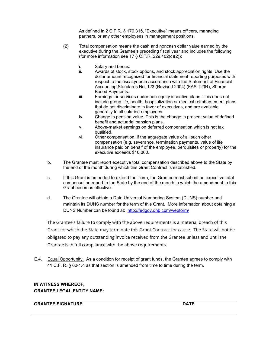As defined in 2 C.F.R. § 170.315, "Executive" means officers, managing partners, or any other employees in management positions.

- (2) Total compensation means the cash and noncash dollar value earned by the executive during the Grantee's preceding fiscal year and includes the following (for more information see 17  $\S$  C.F.R. 229.402(c)(2)):
	- i. Salary and bonus.<br>ii Awards of stock st
	- Awards of stock, stock options, and stock appreciation rights. Use the dollar amount recognized for financial statement reporting purposes with respect to the fiscal year in accordance with the Statement of Financial Accounting Standards No. 123 (Revised 2004) (FAS 123R), Shared Based Payments.
	- iii. Earnings for services under non-equity incentive plans. This does not include group life, health, hospitalization or medical reimbursement plans that do not discriminate in favor of executives, and are available generally to all salaried employees.
	- iv. Change in pension value. This is the change in present value of defined benefit and actuarial pension plans.
	- v. Above-market earnings on deferred compensation which is not tax qualified.
	- vi. Other compensation, if the aggregate value of all such other compensation (e.g. severance, termination payments, value of life insurance paid on behalf of the employee, perquisites or property) for the executive exceeds \$10,000.
- b. The Grantee must report executive total compensation described above to the State by the end of the month during which this Grant Contract is established.
- c. If this Grant is amended to extend the Term, the Grantee must submit an executive total compensation report to the State by the end of the month in which the amendment to this Grant becomes effective.
- d. The Grantee will obtain a Data Universal Numbering System (DUNS) number and maintain its DUNS number for the term of this Grant. More information about obtaining a DUNS Number can be found at: <http://fedgov.dnb.com/webform/>

The Grantee's failure to comply with the above requirements is a material breach of this Grant for which the State may terminate this Grant Contract for cause. The State will not be obligated to pay any outstanding invoice received from the Grantee unless and until the Grantee is in full compliance with the above requirements.

E.4. Equal Opportunity. As a condition for receipt of grant funds, the Grantee agrees to comply with 41 C.F. R. § 60-1.4 as that section is amended from time to time during the term.

#### **IN WITNESS WHEREOF, GRANTEE LEGAL ENTITY NAME:**

#### **GRANTEE SIGNATURE DATE**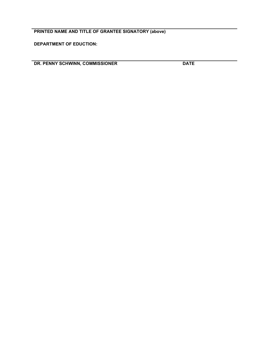### **PRINTED NAME AND TITLE OF GRANTEE SIGNATORY (above)**

**DEPARTMENT OF EDUCTION:**

**DR. PENNY SCHWINN, COMMISSIONER DATE**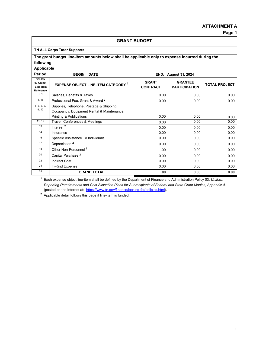#### **ATTACHMENT A**

| <b>GRANT BUDGET</b>                                  |                                                                                                  |                                 |                                        |                      |  |  |
|------------------------------------------------------|--------------------------------------------------------------------------------------------------|---------------------------------|----------------------------------------|----------------------|--|--|
|                                                      | <b>TN ALL Corps Tutor Supports</b>                                                               |                                 |                                        |                      |  |  |
|                                                      | The grant budget line-item amounts below shall be applicable only to expense incurred during the |                                 |                                        |                      |  |  |
| following                                            |                                                                                                  |                                 |                                        |                      |  |  |
| <b>Applicable</b>                                    |                                                                                                  |                                 |                                        |                      |  |  |
| Period:                                              | <b>BEGIN: DATE</b><br><b>END: August 31, 2024</b>                                                |                                 |                                        |                      |  |  |
| <b>POLICY</b><br>03 Object<br>Line-item<br>Reference | <b>EXPENSE OBJECT LINE-ITEM CATEGORY 1</b>                                                       | <b>GRANT</b><br><b>CONTRACT</b> | <b>GRANTEE</b><br><b>PARTICIPATION</b> | <b>TOTAL PROJECT</b> |  |  |
| 1, 2                                                 | Salaries, Benefits & Taxes                                                                       | 0.00                            | 0.00                                   | 0.00                 |  |  |
| 4, 15                                                | Professional Fee, Grant & Award 2                                                                | 0.00                            | 0.00                                   | 0.00                 |  |  |
| 5, 6, 7, 8,                                          | Supplies, Telephone, Postage & Shipping,                                                         |                                 |                                        |                      |  |  |
| 9, 10                                                | Occupancy, Equipment Rental & Maintenance,                                                       |                                 |                                        |                      |  |  |
|                                                      | <b>Printing &amp; Publications</b>                                                               | 0.00                            | 0.00                                   | 0.00                 |  |  |
| 11.12                                                | Travel, Conferences & Meetings                                                                   | 0.00                            | 0.00                                   | 0.00                 |  |  |
| 13                                                   | Interest <sup>2</sup>                                                                            | 0.00                            | 0.00                                   | 0.00                 |  |  |
| 14                                                   | Insurance                                                                                        | 0.00                            | 0.00                                   | 0.00                 |  |  |
| 16                                                   | Specific Assistance To Individuals                                                               | 0.00                            | 0.00                                   | 0.00                 |  |  |
| 17                                                   | Depreciation <sup>2</sup>                                                                        | 0.00                            | 0.00                                   | 0.00                 |  |  |
| 18                                                   | Other Non-Personnel <sup>2</sup>                                                                 | .00.                            | 0.00                                   | 0.00                 |  |  |
| 20                                                   | Capital Purchase <sup>2</sup>                                                                    | 0.00                            | 0.00                                   | 0.00                 |  |  |
| 22                                                   | <b>Indirect Cost</b>                                                                             | 0.00                            | 0.00                                   | 0.00                 |  |  |
| 24                                                   | In-Kind Expense                                                                                  | 0.00                            | 0.00                                   | 0.00                 |  |  |
| 25                                                   | <b>GRAND TOTAL</b>                                                                               | .00                             | 0.00                                   | 0.00                 |  |  |

**<sup>1</sup>** Each expense object line-item shall be defined by the Department of Finance and Administration Policy 03, *Uniform Reporting Requirements and Cost Allocation Plans for Subrecipients of Federal and State Grant Monies, Appendix A*. (posted on the Internet at: [https://www.tn.gov/finance/looking-for/policies.html\)](https://www.tn.gov/finance/looking-for/policies.html).

**<sup>2</sup>** Applicable detail follows this page if line-item is funded.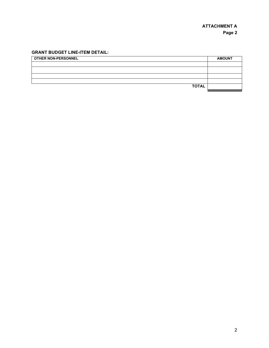### **GRANT BUDGET LINE-ITEM DETAIL:**

| <b>OTHER NON-PERSONNEL</b> | <b>AMOUNT</b> |
|----------------------------|---------------|
|                            |               |
|                            |               |
|                            |               |
|                            |               |
| <b>TOTAL</b>               |               |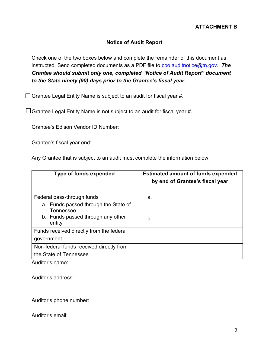### **Notice of Audit Report**

Check one of the two boxes below and complete the remainder of this document as instructed. Send completed documents as a PDF file to [cpo.auditnotice@tn.gov.](mailto:cpo.auditnotice@tn.gov) *The Grantee should submit only one, completed "Notice of Audit Report" document to the State ninety (90) days prior to the Grantee's fiscal year.*

 $\Box$  Grantee Legal Entity Name is subject to an audit for fiscal year #.

 $\Box$  Grantee Legal Entity Name is not subject to an audit for fiscal year #.

Grantee's Edison Vendor ID Number:

Grantee's fiscal year end:

Any Grantee that is subject to an audit must complete the information below.

| <b>Type of funds expended</b>                                                          | <b>Estimated amount of funds expended</b><br>by end of Grantee's fiscal year |
|----------------------------------------------------------------------------------------|------------------------------------------------------------------------------|
| Federal pass-through funds                                                             | a.                                                                           |
| a. Funds passed through the State of<br>Tennessee<br>b. Funds passed through any other | b.                                                                           |
| entity                                                                                 |                                                                              |
| Funds received directly from the federal                                               |                                                                              |
| government                                                                             |                                                                              |
| Non-federal funds received directly from<br>the State of Tennessee                     |                                                                              |

Auditor's name:

Auditor's address:

Auditor's phone number:

Auditor's email: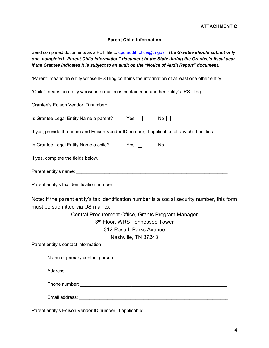#### **Parent Child Information**

Send completed documents as a PDF file to [cpo.auditnotice@tn.gov.](mailto:cpo.auditnotice@tn.gov) The Grantee should submit only *one, completed "Parent Child Information" document to the State during the Grantee's fiscal year if the Grantee indicates it is subject to an audit on the "Notice of Audit Report" document.*

"Parent" means an entity whose IRS filing contains the information of at least one other entity.

"Child" means an entity whose information is contained in another entity's IRS filing.

Grantee's Edison Vendor ID number:

|                                                                                                                                                                                                                                                                                                                     | Is Grantee Legal Entity Name a parent?                                                                        | Yes $\Box$ | $No \Box$   |
|---------------------------------------------------------------------------------------------------------------------------------------------------------------------------------------------------------------------------------------------------------------------------------------------------------------------|---------------------------------------------------------------------------------------------------------------|------------|-------------|
|                                                                                                                                                                                                                                                                                                                     | If yes, provide the name and Edison Vendor ID number, if applicable, of any child entities.                   |            |             |
|                                                                                                                                                                                                                                                                                                                     | Is Grantee Legal Entity Name a child? Yes □                                                                   |            | $No \ \Box$ |
|                                                                                                                                                                                                                                                                                                                     | If yes, complete the fields below.                                                                            |            |             |
|                                                                                                                                                                                                                                                                                                                     |                                                                                                               |            |             |
|                                                                                                                                                                                                                                                                                                                     |                                                                                                               |            |             |
| Note: If the parent entity's tax identification number is a social security number, this form<br>must be submitted via US mail to:<br>Central Procurement Office, Grants Program Manager<br>3rd Floor, WRS Tennessee Tower<br>312 Rosa L Parks Avenue<br>Nashville, TN 37243<br>Parent entity's contact information |                                                                                                               |            |             |
|                                                                                                                                                                                                                                                                                                                     | Name of primary contact person: University of the contract of the contract of the contract of the contract of |            |             |
|                                                                                                                                                                                                                                                                                                                     |                                                                                                               |            |             |
|                                                                                                                                                                                                                                                                                                                     |                                                                                                               |            |             |
|                                                                                                                                                                                                                                                                                                                     |                                                                                                               |            |             |
|                                                                                                                                                                                                                                                                                                                     | Parent entity's Edison Vendor ID number, if applicable:                                                       |            |             |